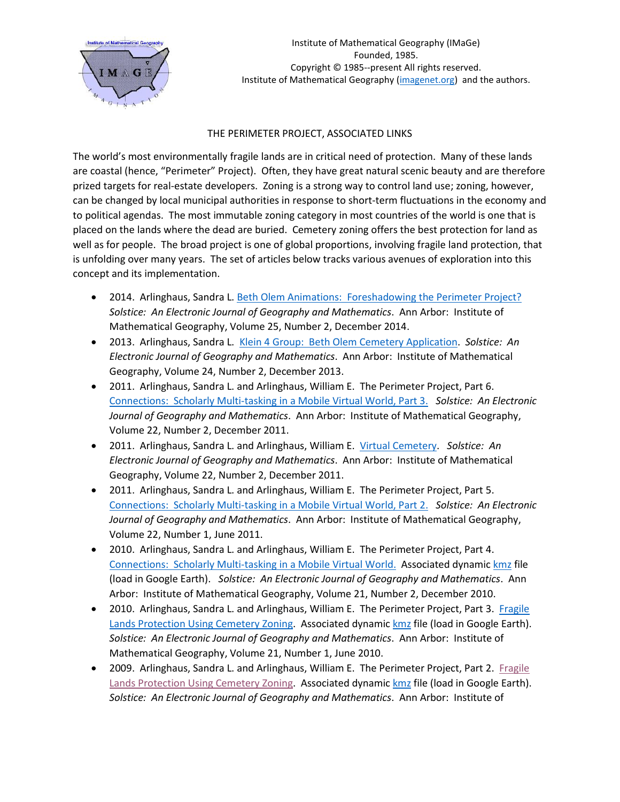

## THE PERIMETER PROJECT, ASSOCIATED LINKS

The world's most environmentally fragile lands are in critical need of protection. Many of these lands are coastal (hence, "Perimeter" Project). Often, they have great natural scenic beauty and are therefore prized targets for real-estate developers. Zoning is a strong way to control land use; zoning, however, can be changed by local municipal authorities in response to short-term fluctuations in the economy and to political agendas. The most immutable zoning category in most countries of the world is one that is placed on the lands where the dead are buried. Cemetery zoning offers the best protection for land as well as for people. The broad project is one of global proportions, involving fragile land protection, that is unfolding over many years. The set of articles below tracks various avenues of exploration into this concept and its implementation.

- 2014. Arlinghaus, Sandra L. [Beth Olem Animations: Foreshadowing the Perimeter Project?](http://www.mylovedone.com/image/solstice/win14/BethOlemAnimation.html) *Solstice: An Electronic Journal of Geography and Mathematics*. Ann Arbor: Institute of Mathematical Geography, Volume 25, Number 2, December 2014.
- 2013. Arlinghaus, Sandra L. Klein 4 [Group: Beth Olem Cemetery](http://www.mylovedone.com/image/solstice/win13/Klein4.html) Application. *Solstice: An Electronic Journal of Geography and Mathematics*. Ann Arbor: Institute of Mathematical Geography, Volume 24, Number 2, December 2013.
- 2011. Arlinghaus, Sandra L. and Arlinghaus, William E. The Perimeter Project, Part 6. [Connections: Scholarly Multi-tasking in a Mobile Virtual World, Part 3.](http://www.mylovedone.com/image/solstice/win11/Arlinghaus2011.pptx) *Solstice: An Electronic Journal of Geography and Mathematics*. Ann Arbor: Institute of Mathematical Geography, Volume 22, Number 2, December 2011.
- 2011. Arlinghaus, Sandra L. and Arlinghaus, William E. [Virtual Cemetery.](http://www.mylovedone.com/image/solstice/win11/AMOVirtualCemetery.kmz) *Solstice: An Electronic Journal of Geography and Mathematics*. Ann Arbor: Institute of Mathematical Geography, Volume 22, Number 2, December 2011.
- 2011. Arlinghaus, Sandra L. and Arlinghaus, William E. The Perimeter Project, Part 5. [Connections: Scholarly Multi-tasking in a Mobile Virtual World, Part 2.](http://www.mylovedone.com/image/solstice/sum11/connectionsGEdayFinal.pptx) *Solstice: An Electronic Journal of Geography and Mathematics*. Ann Arbor: Institute of Mathematical Geography, Volume 22, Number 1, June 2011.
- 2010. Arlinghaus, Sandra L. and Arlinghaus, William E. The Perimeter Project, Part 4. [Connections: Scholarly Multi-tasking in a Mobile Virtual World.](http://www.mylovedone.com/image/solstice/win10/connections.pptx) Associated dynamic [kmz](http://www.mylovedone.com/AMO%20Virtual%20Cemetery.kmz) file (load in Google Earth). *Solstice: An Electronic Journal of Geography and Mathematics*. Ann Arbor: Institute of Mathematical Geography, Volume 21, Number 2, December 2010.
- 2010. Arlinghaus, Sandra L. and Arlinghaus, William E. The Perimeter Project, Part 3. Fragile [Lands Protection Using Cemetery Zoning.](http://www.mylovedone.com/image/solstice/sum10/PerimeterProject2010GE3c.pptx) Associated dynamic [kmz](http://www.mylovedone.com/AMO%20Virtual%20Cemetery.kmz) file (load in Google Earth). *Solstice: An Electronic Journal of Geography and Mathematics*. Ann Arbor: Institute of Mathematical Geography, Volume 21, Number 1, June 2010.
- 2009. Arlinghaus, Sandra L. and Arlinghaus, William E. The Perimeter Project, Part 2. Fragile [Lands Protection Using Cemetery Zoning.](http://www.mylovedone.com/image/solstice/win09/PerimeterProjectPartII.ppt) Associated dynamic [kmz](http://www.mylovedone.com/image/solstice/win09/AMO%20Virtual%20Cemetery.kmz) file (load in Google Earth). *Solstice: An Electronic Journal of Geography and Mathematics*. Ann Arbor: Institute of